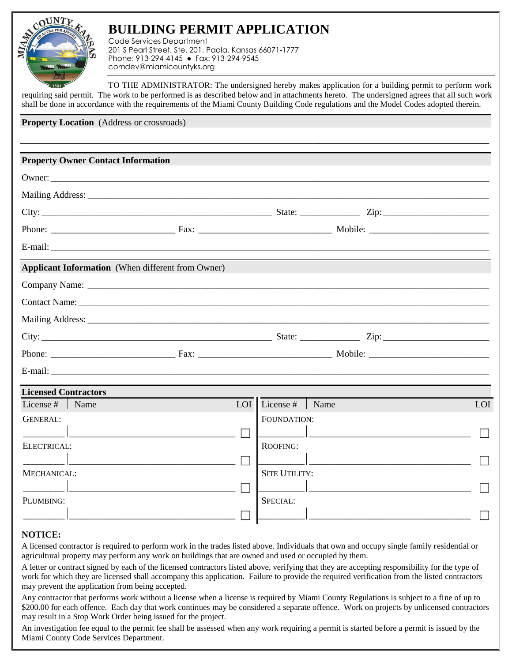

## **BUILDING PERMIT APPLICATION**

Code Services Department 201 S Pearl Street, Ste. 201, Paola, Kansas 66071-1777 Phone: 913-294-4145 ● Fax: 913-294-9545 comdev@miamicountyks.org

TO THE ADMINISTRATOR: The undersigned hereby makes application for a building permit to perform work requiring said permit. The work to be performed is as described below and in attachments hereto. The undersigned agrees that all such work shall be done in accordance with the requirements of the Miami County Building Code regulations and the Model Codes adopted therein.

**Property Location** (Address or crossroads)

|                             | <b>Property Owner Contact Information</b>                |            |                      |      |     |
|-----------------------------|----------------------------------------------------------|------------|----------------------|------|-----|
|                             |                                                          |            |                      |      |     |
|                             |                                                          |            |                      |      |     |
|                             |                                                          |            |                      |      |     |
|                             |                                                          |            |                      |      |     |
|                             |                                                          |            |                      |      |     |
|                             | <b>Applicant Information</b> (When different from Owner) |            |                      |      |     |
|                             |                                                          |            |                      |      |     |
|                             |                                                          |            |                      |      |     |
|                             |                                                          |            |                      |      |     |
|                             |                                                          |            |                      |      |     |
|                             |                                                          |            |                      |      |     |
|                             |                                                          |            |                      |      |     |
| <b>Licensed Contractors</b> |                                                          |            |                      |      |     |
| License #                   | Name                                                     | <b>LOI</b> | License #            | Name | LOI |
| <b>GENERAL:</b>             |                                                          |            | FOUNDATION:          |      |     |
|                             |                                                          |            |                      |      |     |
| ELECTRICAL:                 |                                                          |            | ROOFING:             |      |     |
|                             |                                                          |            |                      |      |     |
| MECHANICAL:                 |                                                          |            | <b>SITE UTILITY:</b> |      |     |
|                             |                                                          |            |                      |      |     |
| PLUMBING:                   |                                                          |            | SPECIAL:             |      |     |
|                             |                                                          |            |                      |      |     |

## **NOTICE:**

A licensed contractor is required to perform work in the trades listed above. Individuals that own and occupy single family residential or agricultural property may perform any work on buildings that are owned and used or occupied by them.

A letter or contract signed by each of the licensed contractors listed above, verifying that they are accepting responsibility for the type of work for which they are licensed shall accompany this application. Failure to provide the required verification from the listed contractors may prevent the application from being accepted.

Any contractor that performs work without a license when a license is required by Miami County Regulations is subject to a fine of up to \$200.00 for each offence. Each day that work continues may be considered a separate offence. Work on projects by unlicensed contractors may result in a Stop Work Order being issued for the project.

An investigation fee equal to the permit fee shall be assessed when any work requiring a permit is started before a permit is issued by the Miami County Code Services Department.